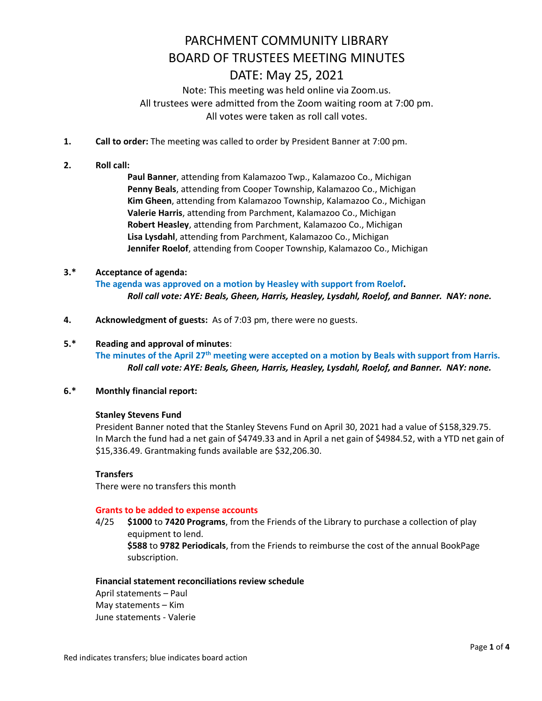Note: This meeting was held online via Zoom.us. All trustees were admitted from the Zoom waiting room at 7:00 pm. All votes were taken as roll call votes.

- **1. Call to order:** The meeting was called to order by President Banner at 7:00 pm.
- **2. Roll call:**

**Paul Banner**, attending from Kalamazoo Twp., Kalamazoo Co., Michigan **Penny Beals**, attending from Cooper Township, Kalamazoo Co., Michigan **Kim Gheen**, attending from Kalamazoo Township, Kalamazoo Co., Michigan **Valerie Harris**, attending from Parchment, Kalamazoo Co., Michigan **Robert Heasley**, attending from Parchment, Kalamazoo Co., Michigan **Lisa Lysdahl**, attending from Parchment, Kalamazoo Co., Michigan **Jennifer Roelof**, attending from Cooper Township, Kalamazoo Co., Michigan

## **3.\* Acceptance of agenda:**

**The agenda was approved on a motion by Heasley with support from Roelof.**   *Roll call vote: AYE: Beals, Gheen, Harris, Heasley, Lysdahl, Roelof, and Banner. NAY: none.* 

**4. Acknowledgment of guests:** As of 7:03 pm, there were no guests.

#### **5.\* Reading and approval of minutes**:

**The minutes of the April 27th meeting were accepted on a motion by Beals with support from Harris.**   *Roll call vote: AYE: Beals, Gheen, Harris, Heasley, Lysdahl, Roelof, and Banner. NAY: none.* 

### **6.\* Monthly financial report:**

#### **Stanley Stevens Fund**

President Banner noted that the Stanley Stevens Fund on April 30, 2021 had a value of \$158,329.75. In March the fund had a net gain of \$4749.33 and in April a net gain of \$4984.52, with a YTD net gain of \$15,336.49. Grantmaking funds available are \$32,206.30.

### **Transfers**

There were no transfers this month

#### **Grants to be added to expense accounts**

4/25 **\$1000** to **7420 Programs**, from the Friends of the Library to purchase a collection of play equipment to lend. **\$588** to **9782 Periodicals**, from the Friends to reimburse the cost of the annual BookPage subscription.

#### **Financial statement reconciliations review schedule**

April statements – Paul May statements – Kim June statements - Valerie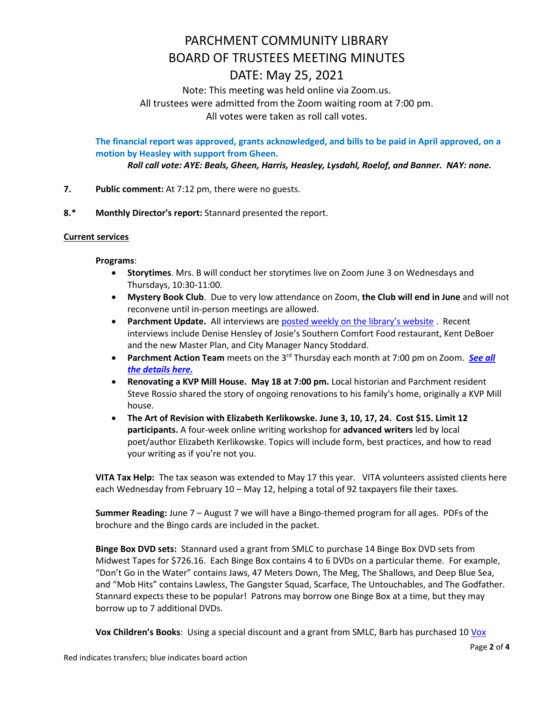# Note: This meeting was held online via Zoom.us. All trustees were admitted from the Zoom waiting room at 7:00 pm.

All votes were taken as roll call votes.

**The financial report was approved, grants acknowledged, and bills to be paid in April approved, on a motion by Heasley with support from Gheen.**

*Roll call vote: AYE: Beals, Gheen, Harris, Heasley, Lysdahl, Roelof, and Banner. NAY: none.* 

- **7. Public comment:** At 7:12 pm, there were no guests.
- **8.\* Monthly Director's report:** Stannard presented the report.

## **Current services**

## **Programs**:

- **Storytimes**. Mrs. B will conduct her storytimes live on Zoom June 3 on Wednesdays and Thursdays, 10:30-11:00.
- **Mystery Book Club**. Due to very low attendance on Zoom, **the Club will end in June** and will not reconvene until in-person meetings are allowed.
- **Parchment Update.** All interviews are **[posted weekly on the library's website](https://www.parchmentlibrary.org/parchment-update)**. Recent interviews include Denise Hensley of Josie's Southern Comfort Food restaurant, Kent DeBoer and the new Master Plan, and City Manager Nancy Stoddard.
- **•** Parchment Action Team meets on the 3<sup>rd</sup> Thursday each month at 7:00 pm on Zoom. *[See](https://www.parchmentlibrary.org/parchment-action-team) all the [details](https://www.parchmentlibrary.org/parchment-action-team) here.*
- **Renovating a KVP Mill House. May 18 at 7:00 pm.** Local historian and Parchment resident Steve Rossio shared the story of ongoing renovations to his family's home, originally a KVP Mill house.
- **The Art of Revision with Elizabeth Kerlikowske. June 3, 10, 17, 24. Cost \$15. Limit 12 participants.** A four-week online writing workshop for **advanced writers** led by local poet/author Elizabeth Kerlikowske. Topics will include form, best practices, and how to read your writing as if you're not you.

**VITA Tax Help:** The tax season was extended to May 17 this year. VITA volunteers assisted clients here each Wednesday from February 10 – May 12, helping a total of 92 taxpayers file their taxes.

**Summer Reading:** June 7 – August 7 we will have a Bingo-themed program for all ages. PDFs of the brochure and the Bingo cards are included in the packet.

**Binge Box DVD sets:** Stannard used a grant from SMLC to purchase 14 Binge Box DVD sets from Midwest Tapes for \$726.16. Each Binge Box contains 4 to 6 DVDs on a particular theme. For example, "Don't Go in the Water" contains Jaws, 47 Meters Down, The Meg, The Shallows, and Deep Blue Sea, and "Mob Hits" contains Lawless, The Gangster Squad, Scarface, The Untouchables, and The Godfather. Stannard expects these to be popular! Patrons may borrow one Binge Box at a time, but they may borrow up to 7 additional DVDs.

**Vox Children's Books**: Using a special discount and a grant from SMLC, Barb has purchased 10 [Vox](https://www.libraryideas.com/vox-books)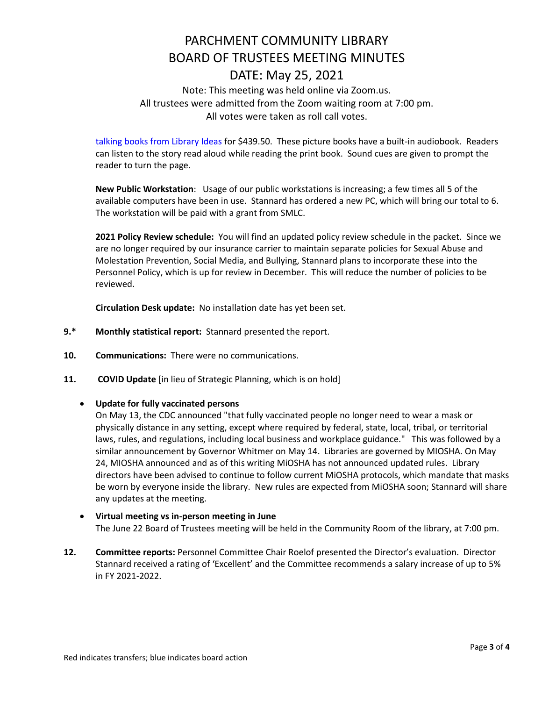## Note: This meeting was held online via Zoom.us. All trustees were admitted from the Zoom waiting room at 7:00 pm. All votes were taken as roll call votes.

[talking books from Library Ideas](https://www.libraryideas.com/vox-books) for \$439.50. These picture books have a built-in audiobook. Readers can listen to the story read aloud while reading the print book. Sound cues are given to prompt the reader to turn the page.

**New Public Workstation**: Usage of our public workstations is increasing; a few times all 5 of the available computers have been in use. Stannard has ordered a new PC, which will bring our total to 6. The workstation will be paid with a grant from SMLC.

**2021 Policy Review schedule:** You will find an updated policy review schedule in the packet. Since we are no longer required by our insurance carrier to maintain separate policies for Sexual Abuse and Molestation Prevention, Social Media, and Bullying, Stannard plans to incorporate these into the Personnel Policy, which is up for review in December. This will reduce the number of policies to be reviewed.

**Circulation Desk update:** No installation date has yet been set.

- **9.\* Monthly statistical report:** Stannard presented the report.
- **10. Communications:** There were no communications.
- **11. COVID Update** [in lieu of Strategic Planning, which is on hold]

## **Update for fully vaccinated persons**

On May 13, the CDC announced "that fully vaccinated people no longer need to wear a mask or physically distance in any setting, except where required by federal, state, local, tribal, or territorial laws, rules, and regulations, including local business and workplace guidance." This was followed by a similar announcement by Governor Whitmer on May 14. Libraries are governed by MIOSHA. On May 24, MIOSHA announced and as of this writing MiOSHA has not announced updated rules. Library directors have been advised to continue to follow current MiOSHA protocols, which mandate that masks be worn by everyone inside the library. New rules are expected from MiOSHA soon; Stannard will share any updates at the meeting.

## **Virtual meeting vs in-person meeting in June** The June 22 Board of Trustees meeting will be held in the Community Room of the library, at 7:00 pm.

**12. Committee reports:** Personnel Committee Chair Roelof presented the Director's evaluation. Director Stannard received a rating of 'Excellent' and the Committee recommends a salary increase of up to 5% in FY 2021-2022.